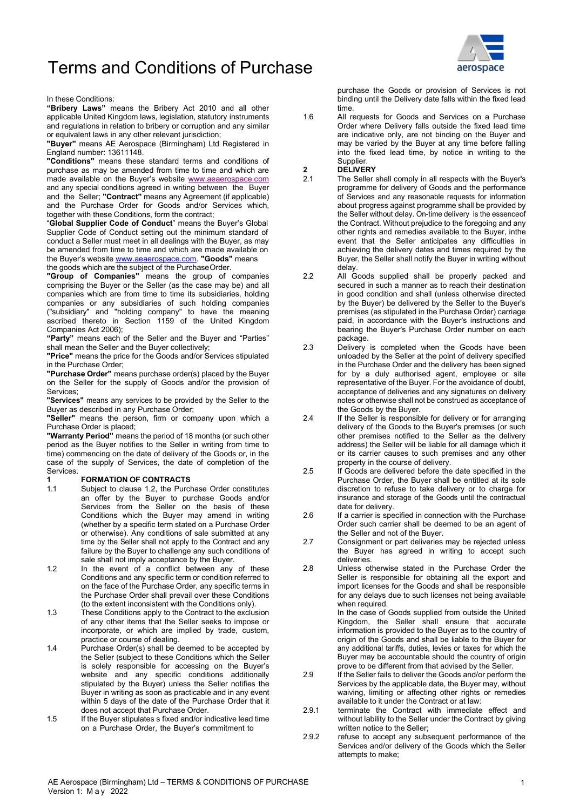# Terms and Conditions of Purchase



#### In these Conditions:

"Bribery Laws" means the Bribery Act 2010 and all other applicable United Kingdom laws, legislation, statutory instruments and regulations in relation to bribery or corruption and any similar or equivalent laws in any other relevant jurisdiction;

"Buyer" means AE Aerospace (Birmingham) Ltd Registered in England number: 13611148.

"Conditions" means these standard terms and conditions of purchase as may be amended from time to time and which are made available on the Buyer's website www.aeaerospace.com and any special conditions agreed in writing between the Buyer and the Seller; "Contract" means any Agreement (if applicable) and the Purchase Order for Goods and/or Services which, together with these Conditions, form the contract;

"Global Supplier Code of Conduct" means the Buyer's Global Supplier Code of Conduct setting out the minimum standard of conduct a Seller must meet in all dealings with the Buyer, as may be amended from time to time and which are made available on the Buyer's website www.aeaerospace.com. "Goods" means the goods which are the subject of the Purchase Order.

"Group of Companies" means the group of companies comprising the Buyer or the Seller (as the case may be) and all companies which are from time to time its subsidiaries, holding companies or any subsidiaries of such holding companies ("subsidiary" and "holding company" to have the meaning ascribed thereto in Section 1159 of the United Kingdom Companies Act 2006);

"Party" means each of the Seller and the Buyer and "Parties" shall mean the Seller and the Buyer collectively;

"Price" means the price for the Goods and/or Services stipulated in the Purchase Order;

"Purchase Order" means purchase order(s) placed by the Buyer on the Seller for the supply of Goods and/or the provision of Services;

"Services" means any services to be provided by the Seller to the Buyer as described in any Purchase Order;

"Seller" means the person, firm or company upon which a Purchase Order is placed;

"Warranty Period" means the period of 18 months (or such other period as the Buyer notifies to the Seller in writing from time to time) commencing on the date of delivery of the Goods or, in the case of the supply of Services, the date of completion of the Services.

# 1.1 **FORMATION OF CONTRACTS**<br>1.1 Subject to clause 1.2, the Purcl

- Subject to clause 1.2, the Purchase Order constitutes an offer by the Buyer to purchase Goods and/or Services from the Seller on the basis of these Conditions which the Buyer may amend in writing (whether by a specific term stated on a Purchase Order or otherwise). Any conditions of sale submitted at any time by the Seller shall not apply to the Contract and any 2.7 failure by the Buyer to challenge any such conditions of sale shall not imply acceptance by the Buyer.
- 1.2 In the event of a conflict between any of these Conditions and any specific term or condition referred to on the face of the Purchase Order, any specific terms in the Purchase Order shall prevail over these Conditions (to the extent inconsistent with the Conditions only).
- 1.3 These Conditions apply to the Contract to the exclusion of any other items that the Seller seeks to impose or incorporate, or which are implied by trade, custom, practice or course of dealing.
- 1.4 Purchase Order(s) shall be deemed to be accepted by the Seller (subject to these Conditions which the Seller is solely responsible for accessing on the Buyer's website and any specific conditions additionally stipulated by the Buyer) unless the Seller notifies the Buyer in writing as soon as practicable and in any event within 5 days of the date of the Purchase Order that it does not accept that Purchase Order.
- 1.5 If the Buyer stipulates s fixed and/or indicative lead time on a Purchase Order, the Buyer's commitment to

purchase the Goods or provision of Services is not binding until the Delivery date falls within the fixed lead time.

1.6 All requests for Goods and Services on a Purchase Order where Delivery falls outside the fixed lead time are indicative only, are not binding on the Buyer and may be varied by the Buyer at any time before falling into the fixed lead time, by notice in writing to the **Supplier** 

### 2 DELIVERY<br>2.1 The Sellers

- The Seller shall comply in all respects with the Buyer's programme for delivery of Goods and the performance of Services and any reasonable requests for information about progress against programme shall be provided by the Seller without delay. On-time delivery is the essence of the Contract. Without prejudice to the foregoing and any other rights and remedies available to the Buyer, inthe event that the Seller anticipates any difficulties in achieving the delivery dates and times required by the Buyer, the Seller shall notify the Buyer in writing without delay.
- 2.2 All Goods supplied shall be properly packed and secured in such a manner as to reach their destination in good condition and shall (unless otherwise directed by the Buyer) be delivered by the Seller to the Buyer's premises (as stipulated in the Purchase Order) carriage paid, in accordance with the Buyer's instructions and bearing the Buyer's Purchase Order number on each package.
- 2.3 Delivery is completed when the Goods have been unloaded by the Seller at the point of delivery specified in the Purchase Order and the delivery has been signed for by a duly authorised agent, employee or site representative of the Buyer. For the avoidance of doubt, acceptance of deliveries and any signatures on delivery notes or otherwise shall not be construed as acceptance of the Goods by the Buyer.
- 2.4 If the Seller is responsible for delivery or for arranging delivery of the Goods to the Buyer's premises (or such other premises notified to the Seller as the delivery address) the Seller will be liable for all damage which it or its carrier causes to such premises and any other property in the course of delivery.
- 2.5 If Goods are delivered before the date specified in the Purchase Order, the Buyer shall be entitled at its sole discretion to refuse to take delivery or to charge for insurance and storage of the Goods until the contractual date for delivery.
- 2.6 If a carrier is specified in connection with the Purchase Order such carrier shall be deemed to be an agent of the Seller and not of the Buyer.
- Consignment or part deliveries may be rejected unless the Buyer has agreed in writing to accept such deliveries.
- 2.8 Unless otherwise stated in the Purchase Order the Seller is responsible for obtaining all the export and import licenses for the Goods and shall be responsible for any delays due to such licenses not being available when required.

In the case of Goods supplied from outside the United Kingdom, the Seller shall ensure that accurate information is provided to the Buyer as to the country of origin of the Goods and shall be liable to the Buyer for any additional tariffs, duties, levies or taxes for which the Buyer may be accountable should the country of origin prove to be different from that advised by the Seller.

- 2.9 If the Seller fails to deliver the Goods and/or perform the Services by the applicable date, the Buyer may, without waiving, limiting or affecting other rights or remedies available to it under the Contract or at law:
- 2.9.1 terminate the Contract with immediate effect and without lability to the Seller under the Contract by giving written notice to the Seller;
- 2.9.2 refuse to accept any subsequent performance of the Services and/or delivery of the Goods which the Seller attempts to make;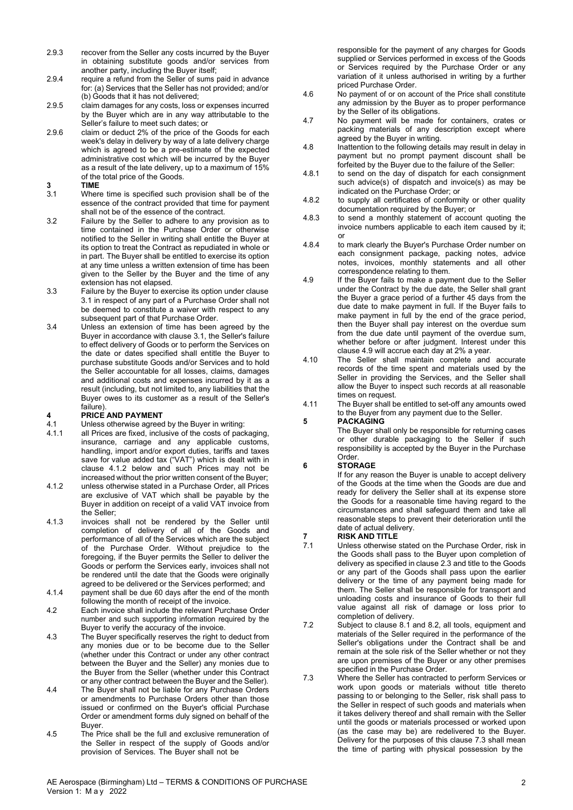- 2.9.3 recover from the Seller any costs incurred by the Buyer in obtaining substitute goods and/or services from another party, including the Buyer itself;
- 2.9.4 require a refund from the Seller of sums paid in advance for: (a) Services that the Seller has not provided; and/or (b) Goods that it has not delivered;
- 2.9.5 claim damages for any costs, loss or expenses incurred by the Buyer which are in any way attributable to the Seller's failure to meet such dates; or
- 2.9.6 claim or deduct 2% of the price of the Goods for each week's delay in delivery by way of a late delivery charge which is agreed to be a pre-estimate of the expected administrative cost which will be incurred by the Buyer as a result of the late delivery, up to a maximum of 15% of the total price of the Goods.
- 
- 3 TIME<br>3.1 Wher Where time is specified such provision shall be of the essence of the contract provided that time for payment shall not be of the essence of the contract.
- 3.2 Failure by the Seller to adhere to any provision as to time contained in the Purchase Order or otherwise notified to the Seller in writing shall entitle the Buyer at its option to treat the Contract as repudiated in whole or in part. The Buyer shall be entitled to exercise its option at any time unless a written extension of time has been given to the Seller by the Buyer and the time of any extension has not elapsed.
- 3.3 Failure by the Buyer to exercise its option under clause 3.1 in respect of any part of a Purchase Order shall not be deemed to constitute a waiver with respect to any subsequent part of that Purchase Order.
- 3.4 Unless an extension of time has been agreed by the Buyer in accordance with clause 3.1, the Seller's failure to effect delivery of Goods or to perform the Services on the date or dates specified shall entitle the Buyer to purchase substitute Goods and/or Services and to hold the Seller accountable for all losses, claims, damages and additional costs and expenses incurred by it as a result (including, but not limited to, any liabilities that the Buyer owes to its customer as a result of the Seller's failure).

### 4 PRICE AND PAYMENT

- 4.1 Unless otherwise agreed by the Buyer in writing:
- all Prices are fixed, inclusive of the costs of packaging, insurance, carriage and any applicable customs, handling, import and/or export duties, tariffs and taxes save for value added tax ("VAT") which is dealt with in clause 4.1.2 below and such Prices may not be increased without the prior written consent of the Buyer;
- 4.1.2 unless otherwise stated in a Purchase Order, all Prices are exclusive of VAT which shall be payable by the Buyer in addition on receipt of a valid VAT invoice from the Seller;
- 4.1.3 invoices shall not be rendered by the Seller until completion of delivery of all of the Goods and performance of all of the Services which are the subject of the Purchase Order. Without prejudice to the foregoing, if the Buyer permits the Seller to deliver the Goods or perform the Services early, invoices shall not be rendered until the date that the Goods were originally agreed to be delivered or the Services performed; and
- 4.1.4 payment shall be due 60 days after the end of the month following the month of receipt of the invoice.
- 4.2 Each invoice shall include the relevant Purchase Order number and such supporting information required by the<br>
Reports used the security of the involvement of 22 Buyer to verify the accuracy of the invoice.
- 4.3 The Buyer specifically reserves the right to deduct from any monies due or to be become due to the Seller (whether under this Contract or under any other contract between the Buyer and the Seller) any monies due to the Buyer from the Seller (whether under this Contract or any other contract between the Buyer and the Seller).
- 4.4 The Buyer shall not be liable for any Purchase Orders or amendments to Purchase Orders other than those issued or confirmed on the Buyer's official Purchase Order or amendment forms duly signed on behalf of the Buyer.
- 4.5 The Price shall be the full and exclusive remuneration of the Seller in respect of the supply of Goods and/or provision of Services. The Buyer shall not be

responsible for the payment of any charges for Goods supplied or Services performed in excess of the Goods or Services required by the Purchase Order or any variation of it unless authorised in writing by a further priced Purchase Order.

- 4.6 No payment of or on account of the Price shall constitute any admission by the Buyer as to proper performance by the Seller of its obligations.
- 4.7 No payment will be made for containers, crates or packing materials of any description except where agreed by the Buyer in writing.
- 4.8 Inattention to the following details may result in delay in payment but no prompt payment discount shall be forfeited by the Buyer due to the failure of the Seller:
- 4.8.1 to send on the day of dispatch for each consignment such advice(s) of dispatch and invoice(s) as may be indicated on the Purchase Order; or
- 4.8.2 to supply all certificates of conformity or other quality documentation required by the Buyer; or
- 4.8.3 to send a monthly statement of account quoting the invoice numbers applicable to each item caused by it; or
- 4.8.4 to mark clearly the Buyer's Purchase Order number on each consignment package, packing notes, advice notes, invoices, monthly statements and all other correspondence relating to them.
- 4.9 If the Buyer fails to make a payment due to the Seller under the Contract by the due date, the Seller shall grant the Buyer a grace period of a further 45 days from the due date to make payment in full. If the Buyer fails to make payment in full by the end of the grace period, then the Buyer shall pay interest on the overdue sum from the due date until payment of the overdue sum, whether before or after judgment. Interest under this clause 4.9 will accrue each day at 2% a year.
- 4.10 The Seller shall maintain complete and accurate records of the time spent and materials used by the Seller in providing the Services, and the Seller shall allow the Buyer to inspect such records at all reasonable times on request.
- 4.11 The Buyer shall be entitled to set-off any amounts owed to the Buyer from any payment due to the Seller.

#### 5 PACKAGING

The Buyer shall only be responsible for returning cases or other durable packaging to the Seller if such responsibility is accepted by the Buyer in the Purchase Order.

#### 6 STORAGE

If for any reason the Buyer is unable to accept delivery of the Goods at the time when the Goods are due and ready for delivery the Seller shall at its expense store the Goods for a reasonable time having regard to the circumstances and shall safeguard them and take all reasonable steps to prevent their deterioration until the date of actual delivery.

# **7** RISK AND TITLE<br>7.1 Unless otherwise

- Unless otherwise stated on the Purchase Order, risk in the Goods shall pass to the Buyer upon completion of delivery as specified in clause 2.3 and title to the Goods or any part of the Goods shall pass upon the earlier delivery or the time of any payment being made for them. The Seller shall be responsible for transport and unloading costs and insurance of Goods to their full value against all risk of damage or loss prior to completion of delivery.
- Subject to clause 8.1 and 8.2, all tools, equipment and materials of the Seller required in the performance of the Seller's obligations under the Contract shall be and remain at the sole risk of the Seller whether or not they are upon premises of the Buyer or any other premises specified in the Purchase Order.
- 7.3 Where the Seller has contracted to perform Services or work upon goods or materials without title thereto passing to or belonging to the Seller, risk shall pass to the Seller in respect of such goods and materials when it takes delivery thereof and shall remain with the Seller until the goods or materials processed or worked upon (as the case may be) are redelivered to the Buyer. Delivery for the purposes of this clause 7.3 shall mean the time of parting with physical possession by the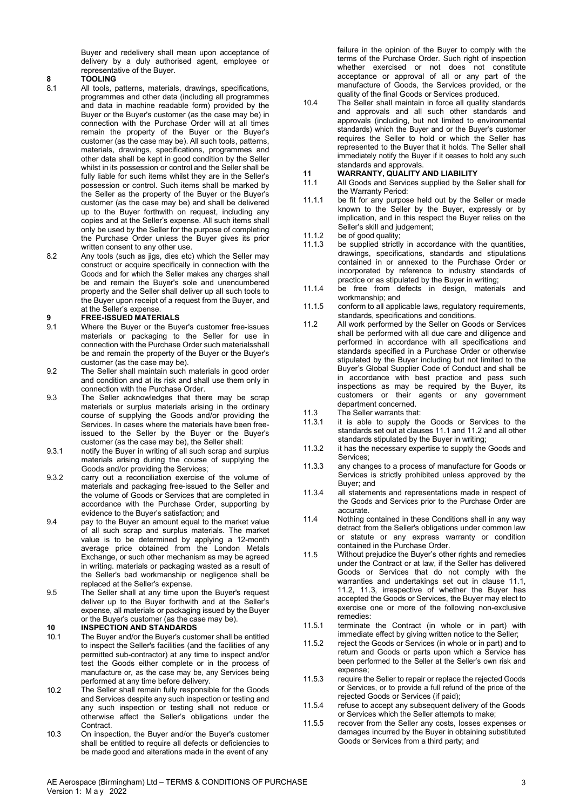Buyer and redelivery shall mean upon acceptance of delivery by a duly authorised agent, employee or representative of the Buyer.

### 8 **TOOLING**<br>8.1 All tools **r**

- All tools, patterns, materials, drawings, specifications, programmes and other data (including all programmes and data in machine readable form) provided by the Buyer or the Buyer's customer (as the case may be) in connection with the Purchase Order will at all times remain the property of the Buyer or the Buyer's customer (as the case may be). All such tools, patterns, materials, drawings, specifications, programmes and other data shall be kept in good condition by the Seller whilst in its possession or control and the Seller shall be fully liable for such items whilst they are in the Seller's possession or control. Such items shall be marked by the Seller as the property of the Buyer or the Buyer's customer (as the case may be) and shall be delivered up to the Buyer forthwith on request, including any copies and at the Seller's expense. All such items shall only be used by the Seller for the purpose of completing the Purchase Order unless the Buyer gives its prior written consent to any other use.
- 8.2 Any tools (such as jigs, dies etc) which the Seller may construct or acquire specifically in connection with the Goods and for which the Seller makes any charges shall be and remain the Buyer's sole and unencumbered property and the Seller shall deliver up all such tools to the Buyer upon receipt of a request from the Buyer, and at the Seller's expense.

#### 9 FREE-ISSUED MATERIALS

- 9.1 Where the Buyer or the Buyer's customer free-issues materials or packaging to the Seller for use in connection with the Purchase Order such materials shall be and remain the property of the Buyer or the Buyer's customer (as the case may be).
- 9.2 The Seller shall maintain such materials in good order and condition and at its risk and shall use them only in connection with the Purchase Order.
- 9.3 The Seller acknowledges that there may be scrap materials or surplus materials arising in the ordinary course of supplying the Goods and/or providing the Services. In cases where the materials have been freeissued to the Seller by the Buyer or the Buyer's customer (as the case may be), the Seller shall:
- 9.3.1 notify the Buyer in writing of all such scrap and surplus materials arising during the course of supplying the Goods and/or providing the Services;
- 9.3.2 carry out a reconciliation exercise of the volume of materials and packaging free-issued to the Seller and the volume of Goods or Services that are completed in accordance with the Purchase Order, supporting by evidence to the Buyer's satisfaction; and
- 9.4 pay to the Buyer an amount equal to the market value of all such scrap and surplus materials. The market value is to be determined by applying a 12-month average price obtained from the London Metals Exchange, or such other mechanism as may be agreed in writing. materials or packaging wasted as a result of the Seller's bad workmanship or negligence shall be replaced at the Seller's expense.
- 9.5 The Seller shall at any time upon the Buyer's request deliver up to the Buyer forthwith and at the Seller's expense, all materials or packaging issued by the Buyer or the Buyer's customer (as the case may be).

# 10 **INSPECTION AND STANDARDS**<br>10.1 The Buyer and/or the Buyer's custo

- The Buyer and/or the Buyer's customer shall be entitled to inspect the Seller's facilities (and the facilities of any permitted sub-contractor) at any time to inspect and/or test the Goods either complete or in the process of manufacture or, as the case may be, any Services being<br>north-may determine before delivery. performed at any time before delivery.
- 10.2 The Seller shall remain fully responsible for the Goods and Services despite any such inspection or testing and any such inspection or testing shall not reduce or otherwise affect the Seller's obligations under the Contract.
- 10.3 On inspection, the Buyer and/or the Buyer's customer shall be entitled to require all defects or deficiencies to be made good and alterations made in the event of any

failure in the opinion of the Buyer to comply with the terms of the Purchase Order. Such right of inspection whether exercised or not does not constitute acceptance or approval of all or any part of the manufacture of Goods, the Services provided, or the quality of the final Goods or Services produced.

10.4 The Seller shall maintain in force all quality standards and approvals and all such other standards and approvals (including, but not limited to environmental standards) which the Buyer and or the Buyer's customer requires the Seller to hold or which the Seller has represented to the Buyer that it holds. The Seller shall immediately notify the Buyer if it ceases to hold any such standards and approvals.

# 11 WARRANTY, QUALITY AND LIABILITY<br>11.1 All Goods and Services supplied by the S

- All Goods and Services supplied by the Seller shall for the Warranty Period:
- 11.1.1 be fit for any purpose held out by the Seller or made known to the Seller by the Buyer, expressly or by implication, and in this respect the Buyer relies on the Seller's skill and judgement;
- 11.1.2 be of good quality;
- 11.1.3 be supplied strictly in accordance with the quantities, drawings, specifications, standards and stipulations contained in or annexed to the Purchase Order or incorporated by reference to industry standards of practice or as stipulated by the Buyer in writing;
- 11.1.4 be free from defects in design, materials and workmanship; and
- 11.1.5 conform to all applicable laws, regulatory requirements, standards, specifications and conditions.
- 11.2 All work performed by the Seller on Goods or Services shall be performed with all due care and diligence and performed in accordance with all specifications and standards specified in a Purchase Order or otherwise stimulated by the Buyer including but not limited to the Buyer's Global Supplier Code of Conduct and shall be in accordance with best practice and pass such inspections as may be required by the Buyer, its customers or their agents or any government department concerned.
- 11.3 The Seller warrants that:
- 11.3.1 it is able to supply the Goods or Services to the standards set out at clauses 11.1 and 11.2 and all other standards stipulated by the Buyer in writing;
- 11.3.2 it has the necessary expertise to supply the Goods and Services;
- 11.3.3 any changes to a process of manufacture for Goods or Services is strictly prohibited unless approved by the Buyer; and
- 11.3.4 all statements and representations made in respect of the Goods and Services prior to the Purchase Order are accurate.
- 11.4 Nothing contained in these Conditions shall in any way detract from the Seller's obligations under common law or statute or any express warranty or condition contained in the Purchase Order.
- 11.5 Without prejudice the Buyer's other rights and remedies under the Contract or at law, if the Seller has delivered Goods or Services that do not comply with the warranties and undertakings set out in clause 11.1, 11.2, 11.3, irrespective of whether the Buyer has accepted the Goods or Services, the Buyer may elect to exercise one or more of the following non-exclusive remedies:
- 11.5.1 terminate the Contract (in whole or in part) with immediate effect by giving written notice to the Seller;
- 11.5.2 reject the Goods or Services (in whole or in part) and to return and Goods or parts upon which a Service has been performed to the Seller at the Seller's own risk and expense;
- require the Seller to repair or replace the rejected Goods or Services, or to provide a full refund of the price of the rejected Goods or Services (if paid);
- 11.5.4 refuse to accept any subsequent delivery of the Goods or Services which the Seller attempts to make;
- 11.5.5 recover from the Seller any costs, losses expenses or damages incurred by the Buyer in obtaining substituted Goods or Services from a third party; and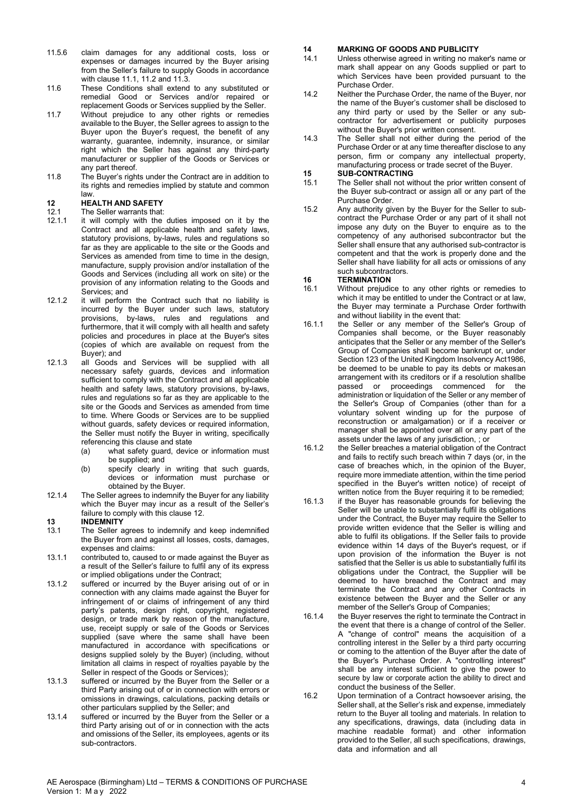- 11.5.6 claim damages for any additional costs, loss or expenses or damages incurred by the Buyer arising from the Seller's failure to supply Goods in accordance with clause 11.1, 11.2 and 11.3.
- 11.6 These Conditions shall extend to any substituted or remedial Good or Services and/or repaired or replacement Goods or Services supplied by the Seller.
- 11.7 Without prejudice to any other rights or remedies available to the Buyer, the Seller agrees to assign to the Buyer upon the Buyer's request, the benefit of any warranty, guarantee, indemnity, insurance, or similar right which the Seller has against any third-party manufacturer or supplier of the Goods or Services or any part thereof.
- 11.8 The Buyer's rights under the Contract are in addition to its rights and remedies implied by statute and common law.
- 

### 12 HEALTH AND SAFETY

- 12.1 The Seller warrants that:
- 12.1.1 it will comply with the duties imposed on it by the Contract and all applicable health and safety laws, statutory provisions, by-laws, rules and regulations so far as they are applicable to the site or the Goods and Services as amended from time to time in the design, manufacture, supply provision and/or installation of the Goods and Services (including all work on site) or the provision of any information relating to the Goods and Services; and
- 12.1.2 it will perform the Contract such that no liability is incurred by the Buyer under such laws, statutory provisions, by-laws, rules and regulations and furthermore, that it will comply with all health and safety policies and procedures in place at the Buyer's sites (copies of which are available on request from the Buyer); and
- 12.1.3 all Goods and Services will be supplied with all necessary safety guards, devices and information sufficient to comply with the Contract and all applicable health and safety laws, statutory provisions, by-laws, rules and regulations so far as they are applicable to the site or the Goods and Services as amended from time to time. Where Goods or Services are to be supplied without guards, safety devices or required information, the Seller must notify the Buyer in writing, specifically referencing this clause and state
	- (a) what safety guard, device or information must be supplied; and
	- (b) specify clearly in writing that such guards, devices or information must purchase or obtained by the Buyer.
- 12.1.4 The Seller agrees to indemnify the Buyer for any liability which the Buyer may incur as a result of the Seller's failure to comply with this clause 12.

### 13 **INDEMNITY**<br>13.1 The Seller a

- The Seller agrees to indemnify and keep indemnified the Buyer from and against all losses, costs, damages, expenses and claims:
- 13.1.1 contributed to, caused to or made against the Buyer as a result of the Seller's failure to fulfil any of its express or implied obligations under the Contract;
- 13.1.2 suffered or incurred by the Buyer arising out of or in connection with any claims made against the Buyer for infringement of or claims of infringement of any third party's patents, design right, copyright, registered design, or trade mark by reason of the manufacture. use, receipt supply or sale of the Goods or Services supplied (save where the same shall have been manufactured in accordance with specifications or designs supplied solely by the Buyer) (including, without limitation all claims in respect of royalties payable by the Seller in respect of the Goods or Services);
- 13.1.3 suffered or incurred by the Buyer from the Seller or a third Party arising out of or in connection with errors or omissions in drawings, calculations, packing details or other particulars supplied by the Seller; and
- 13.1.4 suffered or incurred by the Buyer from the Seller or a third Party arising out of or in connection with the acts and omissions of the Seller, its employees, agents or its sub-contractors.

### 14 MARKING OF GOODS AND PUBLICITY

- 14.1 Unless otherwise agreed in writing no maker's name or mark shall appear on any Goods supplied or part to which Services have been provided pursuant to the Purchase Order.
- 14.2 Neither the Purchase Order, the name of the Buyer, nor the name of the Buyer's customer shall be disclosed to any third party or used by the Seller or any subcontractor for advertisement or publicity purposes without the Buyer's prior written consent.
- 14.3 The Seller shall not either during the period of the Purchase Order or at any time thereafter disclose to any person, firm or company any intellectual property, manufacturing process or trade secret of the Buyer.

# 15 SUB-CONTRACTING<br>15.1 The Seller shall not wi

- The Seller shall not without the prior written consent of the Buyer sub-contract or assign all or any part of the Purchase Order.
- 15.2 Any authority given by the Buyer for the Seller to subcontract the Purchase Order or any part of it shall not impose any duty on the Buyer to enquire as to the competency of any authorised subcontractor but the Seller shall ensure that any authorised sub-contractor is competent and that the work is properly done and the Seller shall have liability for all acts or omissions of any such subcontractors.

## **16 TERMINATION**<br>16.1 Without prejudie

- Without prejudice to any other rights or remedies to which it may be entitled to under the Contract or at law, the Buyer may terminate a Purchase Order forthwith and without liability in the event that:
- 16.1.1 the Seller or any member of the Seller's Group of Companies shall become, or the Buyer reasonably anticipates that the Seller or any member of the Seller's Group of Companies shall become bankrupt or, under Section 123 of the United Kingdom Insolvency Act 1986. be deemed to be unable to pay its debts or makes an arrangement with its creditors or if a resolution shallbe passed or proceedings commenced for the administration or liquidation of the Seller or any member of the Seller's Group of Companies (other than for a voluntary solvent winding up for the purpose of reconstruction or amalgamation) or if a receiver or manager shall be appointed over all or any part of the assets under the laws of any jurisdiction, ; or
- 16.1.2 the Seller breaches a material obligation of the Contract and fails to rectify such breach within 7 days (or, in the case of breaches which, in the opinion of the Buyer, require more immediate attention, within the time period specified in the Buyer's written notice) of receipt of written notice from the Buver requiring it to be remedied;
- 16.1.3 if the Buyer has reasonable grounds for believing the Seller will be unable to substantially fulfil its obligations under the Contract, the Buyer may require the Seller to provide written evidence that the Seller is willing and able to fulfil its obligations. If the Seller fails to provide evidence within 14 days of the Buyer's request, or if upon provision of the information the Buyer is not satisfied that the Seller is us able to substantially fulfil its obligations under the Contract, the Supplier will be deemed to have breached the Contract and may terminate the Contract and any other Contracts in existence between the Buyer and the Seller or any member of the Seller's Group of Companies;
- 16.1.4 the Buyer reserves the right to terminate the Contract in the event that there is a change of control of the Seller. A "change of control" means the acquisition of a controlling interest in the Seller by a third party occurring or coming to the attention of the Buyer after the date of the Buyer's Purchase Order. A "controlling interest" shall be any interest sufficient to give the power to secure by law or corporate action the ability to direct and conduct the business of the Seller.
- 16.2 Upon termination of a Contract howsoever arising, the Seller shall, at the Seller's risk and expense, immediately return to the Buyer all tooling and materials. In relation to any specifications, drawings, data (including data in machine readable format) and other information provided to the Seller, all such specifications, drawings, data and information and all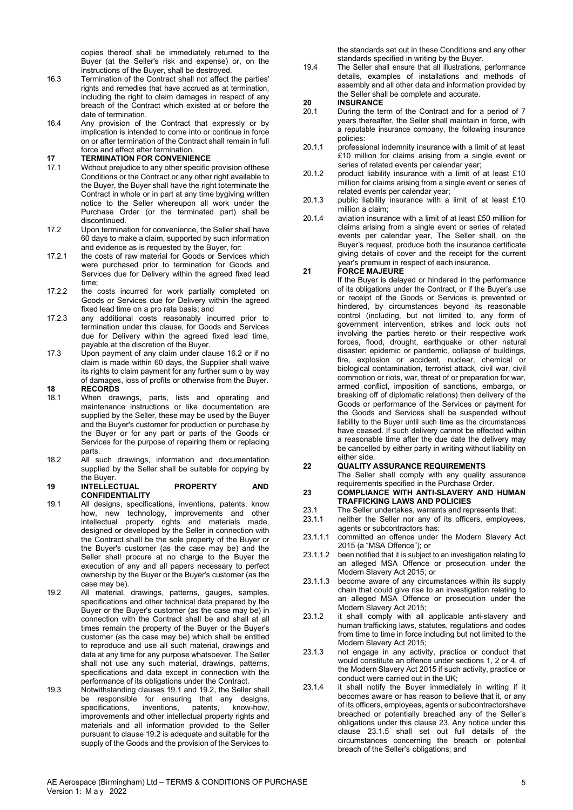copies thereof shall be immediately returned to the Buyer (at the Seller's risk and expense) or, on the instructions of the Buyer, shall be destroyed.

- 16.3 Termination of the Contract shall not affect the parties' rights and remedies that have accrued as at termination, including the right to claim damages in respect of any breach of the Contract which existed at or before the date of termination.
- 16.4 Any provision of the Contract that expressly or by implication is intended to come into or continue in force on or after termination of the Contract shall remain in full force and effect after termination.

- 17 **TERMINATION FOR CONVENIENCE**<br>17.1 Without prejudice to any other specific Without prejudice to any other specific provision of these Conditions or the Contract or any other right available to the Buyer, the Buyer shall have the right toterminate the Contract in whole or in part at any time bygiving written notice to the Seller whereupon all work under the Purchase Order (or the terminated part) shall be discontinued.
- 17.2 Upon termination for convenience, the Seller shall have 60 days to make a claim, supported by such information and evidence as is requested by the Buyer, for:
- 17.2.1 the costs of raw material for Goods or Services which were purchased prior to termination for Goods and Services due for Delivery within the agreed fixed lead time;
- 17.2.2 the costs incurred for work partially completed on Goods or Services due for Delivery within the agreed fixed lead time on a pro rata basis; and
- 17.2.3 any additional costs reasonably incurred prior to termination under this clause, for Goods and Services due for Delivery within the agreed fixed lead time, payable at the discretion of the Buyer.
- 17.3 Upon payment of any claim under clause 16.2 or if no claim is made within 60 days, the Supplier shall waive its rights to claim payment for any further sum o by way of damages, loss of profits or otherwise from the Buyer.
- **18 RECORDS**<br>18.1 When dray When drawings, parts, lists and operating and maintenance instructions or like documentation are supplied by the Seller, these may be used by the Buyer and the Buyer's customer for production or purchase by the Buyer or for any part or parts of the Goods or Services for the purpose of repairing them or replacing parts.
- 18.2 All such drawings, information and documentation supplied by the Seller shall be suitable for copying by the Buyer.

#### 19 INTELLECTUAL PROPERTY AND **CONFIDENTIALITY**

- 19.1 All designs, specifications, inventions, patents, know how, new technology, improvements and other intellectual property rights and materials made, designed or developed by the Seller in connection with the Contract shall be the sole property of the Buyer or the Buyer's customer (as the case may be) and the Seller shall procure at no charge to the Buyer the execution of any and all papers necessary to perfect ownership by the Buyer or the Buyer's customer (as the case may be).
- 19.2 All material, drawings, patterns, gauges, samples, specifications and other technical data prepared by the Buyer or the Buyer's customer (as the case may be) in connection with the Contract shall be and shall at all times remain the property of the Buyer or the Buyer's customer (as the case may be) which shall be entitled to reproduce and use all such material, drawings and data at any time for any purpose whatsoever. The Seller shall not use any such material, drawings, patterns, specifications and data except in connection with the performance of its obligations under the Contract.
- 19.3 Notwithstanding clauses 19.1 and 19.2, the Seller shall be responsible for ensuring that any designs,<br>specifications, inventions, patents, know-how, specifications, inventions, patents, know-how, improvements and other intellectual property rights and materials and all information provided to the Seller pursuant to clause 19.2 is adequate and suitable for the supply of the Goods and the provision of the Services to

the standards set out in these Conditions and any other standards specified in writing by the Buyer.

19.4 The Seller shall ensure that all illustrations, performance details, examples of installations and methods of assembly and all other data and information provided by the Seller shall be complete and accurate.

### 20 **INSURANCE**<br>20.1 During the term

- During the term of the Contract and for a period of 7 years thereafter, the Seller shall maintain in force, with a reputable insurance company, the following insurance policies:
- 20.1.1 professional indemnity insurance with a limit of at least £10 million for claims arising from a single event or series of related events per calendar year;
- 20.1.2 product liability insurance with a limit of at least £10 million for claims arising from a single event or series of related events per calendar year;
- 20.1.3 public liability insurance with a limit of at least £10 million a claim;
- 20.1.4 aviation insurance with a limit of at least £50 million for claims arising from a single event or series of related events per calendar year, The Seller shall, on the Buyer's request, produce both the insurance certificate giving details of cover and the receipt for the current year's premium in respect of each insurance.

#### 21 FORCE MAJEURE

If the Buyer is delayed or hindered in the performance of its obligations under the Contract, or if the Buyer's use or receipt of the Goods or Services is prevented or hindered, by circumstances beyond its reasonable control (including, but not limited to, any form of government intervention, strikes and lock outs not involving the parties hereto or their respective work forces, flood, drought, earthquake or other natural disaster; epidemic or pandemic, collapse of buildings, fire, explosion or accident, nuclear, chemical or biological contamination, terrorist attack, civil war, civil commotion or riots, war, threat of or preparation for war, armed conflict, imposition of sanctions, embargo, or breaking off of diplomatic relations) then delivery of the Goods or performance of the Services or payment for the Goods and Services shall be suspended without liability to the Buyer until such time as the circumstances have ceased. If such delivery cannot be effected within a reasonable time after the due date the delivery may be cancelled by either party in writing without liability on either side.

#### 22 QUALITY ASSURANCE REQUIREMENTS

The Seller shall comply with any quality assurance requirements specified in the Purchase Order.

#### 23 COMPLIANCE WITH ANTI-SLAVERY AND HUMAN TRAFFICKING LAWS AND POLICIES

- 23.1 The Seller undertakes, warrants and represents that:<br>23.1.1 neither the Seller nor any of its officers, employee
- neither the Seller nor any of its officers, employees, agents or subcontractors has:
- 23.1.1.1 committed an offence under the Modern Slavery Act 2015 (a "MSA Offence"); or
- 23.1.1.2 been notified that it is subject to an investigation relating to an alleged MSA Offence or prosecution under the Modern Slavery Act 2015; or
- 23.1.1.3 become aware of any circumstances within its supply chain that could give rise to an investigation relating to an alleged MSA Offence or prosecution under the Modern Slavery Act 2015;
- 23.1.2 it shall comply with all applicable anti-slavery and human trafficking laws, statutes, regulations and codes from time to time in force including but not limited to the Modern Slavery Act 2015;
- 23.1.3 not engage in any activity, practice or conduct that would constitute an offence under sections 1, 2 or 4, of the Modern Slavery Act 2015 if such activity, practice or conduct were carried out in the UK;
- 23.1.4 it shall notify the Buyer immediately in writing if it becomes aware or has reason to believe that it, or any of its officers, employees, agents or subcontractors have breached or potentially breached any of the Seller's obligations under this clause 23. Any notice under this clause 23.1.5 shall set out full details of the circumstances concerning the breach or potential breach of the Seller's obligations; and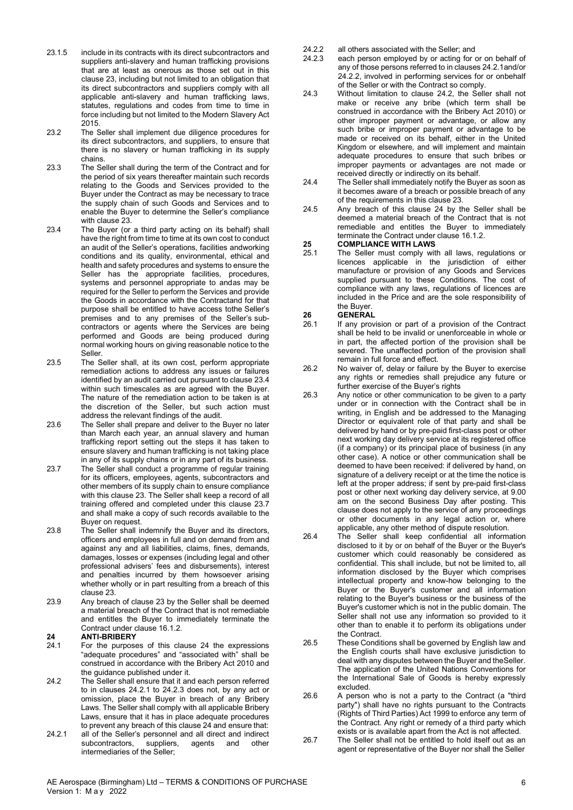- 23.1.5 include in its contracts with its direct subcontractors and suppliers anti-slavery and human trafficking provisions that are at least as onerous as those set out in this clause 23, including but not limited to an obligation that its direct subcontractors and suppliers comply with all applicable anti-slavery and human trafficking laws, statutes, regulations and codes from time to time in force including but not limited to the Modern Slavery Act 2015.
- 23.2 The Seller shall implement due diligence procedures for its direct subcontractors, and suppliers, to ensure that there is no slavery or human trafficking in its supply chains.
- 23.3 The Seller shall during the term of the Contract and for the period of six years thereafter maintain such records relating to the Goods and Services provided to the Buyer under the Contract as may be necessary to trace the supply chain of such Goods and Services and to enable the Buyer to determine the Seller's compliance with clause 23.
- 23.4 The Buyer (or a third party acting on its behalf) shall have the right from time to time at its own cost to conduct an audit of the Seller's operations, facilities and working conditions and its quality, environmental, ethical and health and safety procedures and systems to ensure the Seller has the appropriate facilities, procedures, systems and personnel appropriate to and as may be required for the Seller to perform the Services and provide the Goods in accordance with the Contractand for that purpose shall be entitled to have access tothe Seller's premises and to any premises of the Seller's subcontractors or agents where the Services are being performed and Goods are being produced during normal working hours on giving reasonable notice to the Seller.
- 23.5 The Seller shall, at its own cost, perform appropriate remediation actions to address any issues or failures identified by an audit carried out pursuant to clause 23.4 within such timescales as are agreed with the Buyer. The nature of the remediation action to be taken is at the discretion of the Seller, but such action must address the relevant findings of the audit.
- 23.6 The Seller shall prepare and deliver to the Buyer no later than March each year, an annual slavery and human trafficking report setting out the steps it has taken to ensure slavery and human trafficking is not taking place in any of its supply chains or in any part of its business.
- 23.7 The Seller shall conduct a programme of regular training for its officers, employees, agents, subcontractors and other members of its supply chain to ensure compliance with this clause 23. The Seller shall keep a record of all training offered and completed under this clause 23.7 and shall make a copy of such records available to the Buyer on request.
- 23.8 The Seller shall indemnify the Buyer and its directors, officers and employees in full and on demand from and against any and all liabilities, claims, fines, demands, damages, losses or expenses (including legal and other professional advisers' fees and disbursements), interest and penalties incurred by them howsoever arising whether wholly or in part resulting from a breach of this clause 23.
- 23.9 Any breach of clause 23 by the Seller shall be deemed a material breach of the Contract that is not remediable and entitles the Buyer to immediately terminate the Contract under clause 16.1.2.

### 24 **ANTI-BRIBERY**<br>24.1 For the nurnose

- For the purposes of this clause 24 the expressions "adequate procedures" and "associated with" shall be construed in accordance with the Bribery Act 2010 and the guidance published under it.
- 24.2 The Seller shall ensure that it and each person referred to in clauses 24.2.1 to 24.2.3 does not, by any act or omission, place the Buyer in breach of any Bribery Laws. The Seller shall comply with all applicable Bribery Laws, ensure that it has in place adequate procedures to prevent any breach of this clause 24 and ensure that:
- 24.2.1 all of the Seller's personnel and all direct and indirect subcontractors, suppliers, agents and other intermediaries of the Seller;
- 24.2.2 all others associated with the Seller; and
- 24.2.3 each person employed by or acting for or on behalf of any of those persons referred to in clauses 24.2.1 and/or 24.2.2, involved in performing services for or onbehalf of the Seller or with the Contract so comply.
- 24.3 Without limitation to clause 24.2, the Seller shall not make or receive any bribe (which term shall be construed in accordance with the Bribery Act 2010) or other improper payment or advantage, or allow any such bribe or improper payment or advantage to be made or received on its behalf, either in the United Kingdom or elsewhere, and will implement and maintain adequate procedures to ensure that such bribes or improper payments or advantages are not made or received directly or indirectly on its behalf.
- 24.4 The Seller shall immediately notify the Buyer as soon as it becomes aware of a breach or possible breach of any of the requirements in this clause 23.
- 24.5 Any breach of this clause 24 by the Seller shall be deemed a material breach of the Contract that is not remediable and entitles the Buyer to immediately terminate the Contract under clause 16.1.2.

#### 25 COMPLIANCE WITH LAWS

25.1 The Seller must comply with all laws, regulations or licences applicable in the jurisdiction of either manufacture or provision of any Goods and Services supplied pursuant to these Conditions. The cost of compliance with any laws, regulations of licences are included in the Price and are the sole responsibility of the Buyer.

### 26 **GENERAL**<br>26.1 If any prov

- If any provision or part of a provision of the Contract shall be held to be invalid or unenforceable in whole or in part, the affected portion of the provision shall be severed. The unaffected portion of the provision shall remain in full force and effect.
- 26.2 No waiver of, delay or failure by the Buyer to exercise any rights or remedies shall prejudice any future or further exercise of the Buyer's rights
- 26.3 Any notice or other communication to be given to a party under or in connection with the Contract shall be in writing, in English and be addressed to the Managing Director or equivalent role of that party and shall be delivered by hand or by pre-paid first-class post or other next working day delivery service at its registered office (if a company) or its principal place of business (in any other case). A notice or other communication shall be deemed to have been received: if delivered by hand, on signature of a delivery receipt or at the time the notice is left at the proper address; if sent by pre-paid first-class post or other next working day delivery service, at 9.00 am on the second Business Day after posting. This clause does not apply to the service of any proceedings or other documents in any legal action or, where applicable, any other method of dispute resolution.
- 26.4 The Seller shall keep confidential all information disclosed to it by or on behalf of the Buyer or the Buyer's customer which could reasonably be considered as confidential. This shall include, but not be limited to, all information disclosed by the Buyer which comprises intellectual property and know-how belonging to the Buyer or the Buyer's customer and all information relating to the Buyer's business or the business of the Buyer's customer which is not in the public domain. The Seller shall not use any information so provided to it other than to enable it to perform its obligations under the Contract.
- 26.5 These Conditions shall be governed by English law and the English courts shall have exclusive jurisdiction to deal with any disputes between the Buyer and the Seller. The application of the United Nations Conventions for the International Sale of Goods is hereby expressly excluded.
- 26.6 A person who is not a party to the Contract (a "third party") shall have no rights pursuant to the Contracts (Rights of Third Parties) Act 1999 to enforce any term of the Contract. Any right or remedy of a third party which exists or is available apart from the Act is not affected.
- 26.7 The Seller shall not be entitled to hold itself out as an agent or representative of the Buyer nor shall the Seller